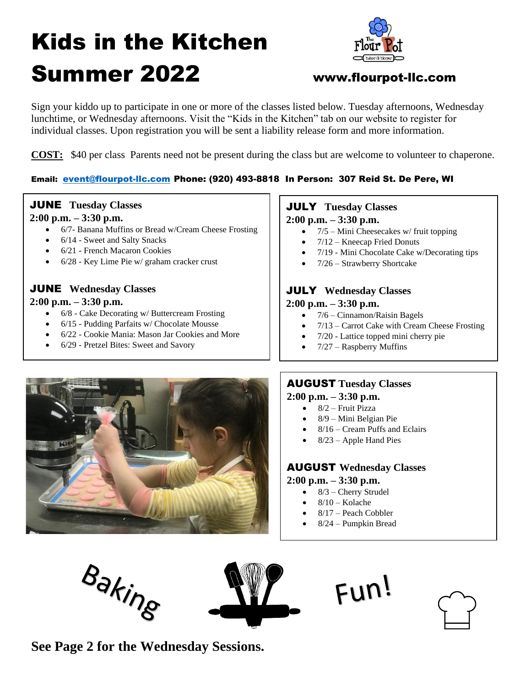# Kids in the Kitchen Summer 2022 www.flourpot-llc.com



Sign your kiddo up to participate in one or more of the classes listed below. Tuesday afternoons, Wednesday lunchtime, or Wednesday afternoons. Visit the "Kids in the Kitchen" tab on our website to register for individual classes. Upon registration you will be sent a liability release form and more information.

**COST:** \$40 per class Parents need not be present during the class but are welcome to volunteer to chaperone.

# Email: [event@flourpot-llc.com](mailto:event@flourpot-llc.com) Phone: (920) 493-8818 In Person: 307 Reid St. De Pere, WI

# JUNE **Tuesday Classes**

### **2:00 p.m. – 3:30 p.m.**

- 6/7- Banana Muffins or Bread w/Cream Cheese Frosting
- 6/14 Sweet and Salty Snacks
- 6/21 French Macaron Cookies
- 6/28 Key Lime Pie w/ graham cracker crust

# JUNE **Wednesday Classes**

### **2:00 p.m. – 3:30 p.m.**

- 6/8 Cake Decorating w/ Buttercream Frosting
- 6/15 Pudding Parfaits w/ Chocolate Mousse
- 6/22 Cookie Mania: Mason Jar Cookies and More
- 6/29 Pretzel Bites: Sweet and Savory

# JULY **Tuesday Classes**

### **2:00 p.m. – 3:30 p.m.**

- $7/5$  Mini Cheesecakes w/ fruit topping
- $7/12$  Kneecap Fried Donuts
- 7/19 Mini Chocolate Cake w/Decorating tips
- 7/26 Strawberry Shortcake

# JULY **Wednesday Classes**

## **2:00 p.m. – 3:30 p.m.**

- 7/6 Cinnamon/Raisin Bagels
- 7/13 Carrot Cake with Cream Cheese Frosting
- 7/20 Lattice topped mini cherry pie
- $7/27$  Raspberry Muffins



# AUGUST **Tuesday Classes**

## **2:00 p.m. – 3:30 p.m.**

- 8/2 Fruit Pizza
- 8/9 Mini Belgian Pie
- 8/16 Cream Puffs and Eclairs
- $8/23$  Apple Hand Pies

# AUGUST **Wednesday Classes**

#### **2:00 p.m. – 3:30 p.m.**

- $\bullet$  8/3 Cherry Strudel
- $8/10$  Kolache
- 8/17 Peach Cobbler
- 8/24 Pumpkin Bread

Fun!

Baking



**See Page 2 for the Wednesday Sessions.**